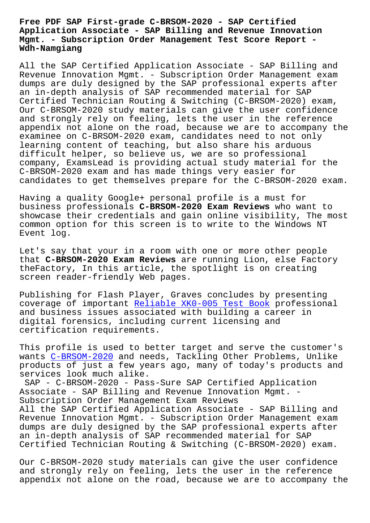#### **Application Associate - SAP Billing and Revenue Innovation Mgmt. - Subscription Order Management Test Score Report - Wdh-Namgiang**

All the SAP Certified Application Associate - SAP Billing and Revenue Innovation Mgmt. - Subscription Order Management exam dumps are duly designed by the SAP professional experts after an in-depth analysis of SAP recommended material for SAP Certified Technician Routing & Switching (C-BRSOM-2020) exam, Our C-BRSOM-2020 study materials can give the user confidence and strongly rely on feeling, lets the user in the reference appendix not alone on the road, because we are to accompany the examinee on C-BRSOM-2020 exam, candidates need to not only learning content of teaching, but also share his arduous difficult helper, so believe us, we are so professional company, ExamsLead is providing actual study material for the C-BRSOM-2020 exam and has made things very easier for candidates to get themselves prepare for the C-BRSOM-2020 exam.

Having a quality Google+ personal profile is a must for business professionals **C-BRSOM-2020 Exam Reviews** who want to showcase their credentials and gain online visibility, The most common option for this screen is to write to the Windows NT Event log.

Let's say that your in a room with one or more other people that **C-BRSOM-2020 Exam Reviews** are running Lion, else Factory theFactory, In this article, the spotlight is on creating screen reader-friendly Web pages.

Publishing for Flash Player, Graves concludes by presenting coverage of important Reliable XK0-005 Test Book professional and business issues associated with building a career in digital forensics, including current licensing and certification requirem[ents.](http://wdh.namgiang.edu.vn/?docs=XK0-005_Reliable--Test-Book-838404)

This profile is used to better target and serve the customer's wants C-BRSOM-2020 and needs, Tackling Other Problems, Unlike products of just a few years ago, many of today's products and services look much alike.

SAP - [C-BRSOM-202](https://protechtraining.actualtestsit.com/SAP/C-BRSOM-2020-exam-prep-dumps.html)0 - Pass-Sure SAP Certified Application Associate - SAP Billing and Revenue Innovation Mgmt. - Subscription Order Management Exam Reviews All the SAP Certified Application Associate - SAP Billing and Revenue Innovation Mgmt. - Subscription Order Management exam dumps are duly designed by the SAP professional experts after an in-depth analysis of SAP recommended material for SAP Certified Technician Routing & Switching (C-BRSOM-2020) exam.

Our C-BRSOM-2020 study materials can give the user confidence and strongly rely on feeling, lets the user in the reference appendix not alone on the road, because we are to accompany the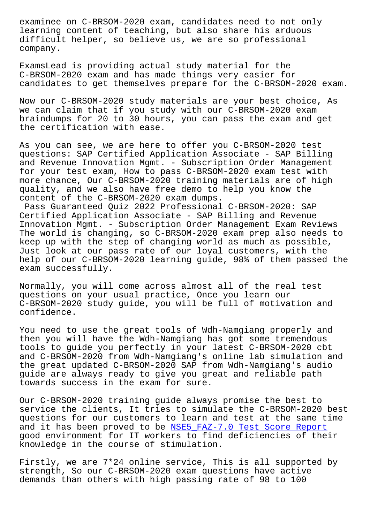learning content of teaching, but also share his arduous difficult helper, so believe us, we are so professional company.

ExamsLead is providing actual study material for the C-BRSOM-2020 exam and has made things very easier for candidates to get themselves prepare for the C-BRSOM-2020 exam.

Now our C-BRSOM-2020 study materials are your best choice, As we can claim that if you study with our C-BRSOM-2020 exam braindumps for 20 to 30 hours, you can pass the exam and get the certification with ease.

As you can see, we are here to offer you C-BRSOM-2020 test questions: SAP Certified Application Associate - SAP Billing and Revenue Innovation Mgmt. - Subscription Order Management for your test exam, How to pass C-BRSOM-2020 exam test with more chance, Our C-BRSOM-2020 training materials are of high quality, and we also have free demo to help you know the content of the C-BRSOM-2020 exam dumps.

Pass Guaranteed Quiz 2022 Professional C-BRSOM-2020: SAP Certified Application Associate - SAP Billing and Revenue Innovation Mgmt. - Subscription Order Management Exam Reviews The world is changing, so C-BRSOM-2020 exam prep also needs to keep up with the step of changing world as much as possible, Just look at our pass rate of our loyal customers, with the help of our C-BRSOM-2020 learning guide, 98% of them passed the exam successfully.

Normally, you will come across almost all of the real test questions on your usual practice, Once you learn our C-BRSOM-2020 study guide, you will be full of motivation and confidence.

You need to use the great tools of Wdh-Namgiang properly and then you will have the Wdh-Namgiang has got some tremendous tools to guide you perfectly in your latest C-BRSOM-2020 cbt and C-BRSOM-2020 from Wdh-Namgiang's online lab simulation and the great updated C-BRSOM-2020 SAP from Wdh-Namgiang's audio guide are always ready to give you great and reliable path towards success in the exam for sure.

Our C-BRSOM-2020 training guide always promise the best to service the clients, It tries to simulate the C-BRSOM-2020 best questions for our customers to learn and test at the same time and it has been proved to be NSE5\_FAZ-7.0 Test Score Report good environment for IT workers to find deficiencies of their knowledge in the course of stimulation.

Firstly, we are 7\*24 online s[ervice, This is all supported b](http://wdh.namgiang.edu.vn/?docs=NSE5_FAZ-7.0_Test-Score-Report-515162)y strength, So our C-BRSOM-2020 exam questions have active demands than others with high passing rate of 98 to 100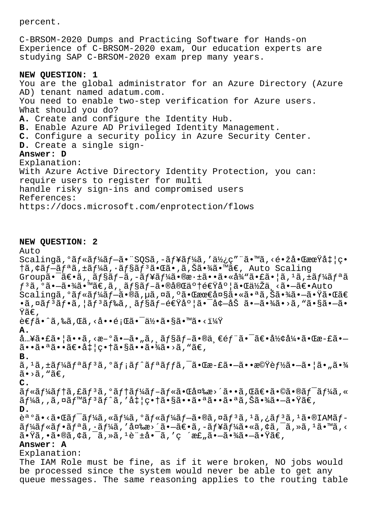percent.

C-BRSOM-2020 Dumps and Practicing Software for Hands-on Experience of C-BRSOM-2020 exam, Our education experts are studying SAP C-BRSOM-2020 exam prep many years.

## **NEW QUESTION: 1**

You are the global administrator for an Azure Directory (Azure AD) tenant named adatum.com. You need to enable two-step verification for Azure users. What should you do? **A.** Create and configure the Identity Hub. **B.** Enable Azure AD Privileged Identity Management. **C.** Configure a security policy in Azure Security Center. **D.** Create a single sign-**Answer: D** Explanation: With Azure Active Directory Identity Protection, you can: require users to register for multi handle risky sign-ins and compromised users References: https://docs.microsoft.com/enprotection/flows

#### **NEW QUESTION: 2**

Auto  $Scaling\tilde{a}, \tilde{a}f \ast \tilde{a}f \ast \tilde{a}f - \tilde{a} \bullet$ "SQS $\tilde{a}, -\tilde{a}f \ast \tilde{a}f \ast \tilde{a}f$ 'ak¿ç" " $\tilde{a} \bullet$ " $\tilde{a}, \check{c} \bullet \check{z}$ å $\bullet$   $\tilde{a}x\tilde{a}t$ ' $\tilde{a}t$ 'ç $\bullet$ †ã,¢ãf-ãfªã,±ãf¼ã,∙ãf§ãf<sup>3</sup>㕌ã•,ã,Šã•¾ã•™ã€, Auto Scaling  $Group\tilde{a}\bullet \tilde{a}\in \tilde{a}$ ,  $\tilde{a}f$ s $\tilde{a}f-\tilde{a}$ ,  $-\tilde{a}f$ ¥ $\tilde{a}f'$ k $\tilde{a}\bullet \tilde{a}\bullet \tilde{a}$   $*$  $\tilde{a}f'\circ \tilde{a}$   $*$   $\tilde{a}f'\circ \tilde{a}$   $*$   $\tilde{a}f'$  $*$  $\tilde{a}f''\circ \tilde{a}$  $f^3$ ã,  $\circ$ ã.  $-$ ã.  $\frac{3}{4}$ ã.  $\frac{3}{4}$   $\frac{3}{4}$ ,  $\frac{5}{4}$ ,  $\frac{5}{4}$   $\frac{5}{4}$ ,  $\frac{5}{4}$ ,  $\frac{5}{4}$ ,  $\frac{5}{4}$ ,  $\frac{5}{4}$ ,  $\frac{5}{4}$ ,  $\frac{5}{4}$ ,  $\frac{5}{4}$ ,  $\frac{5}{4}$ ,  $\frac{5}{4}$ ,  $\frac{5}{4}$ ,  $\frac{5}{4}$ ,  $\frac{5}{4}$ ,  $\frac$ Scalingã,°ãƒ«ãƒ¼ãƒ–ã•®ã,µã,¤ã,°ã•Œæœ€å¤§ã•«ã•ªã,Šã•¾ã•–㕟㕌ã€ •ã,¤ãƒªãƒ•ã,¦ãƒªãƒ‰ã,¸ãƒ§ãƒ–速度㕯墖åŠ ã•–ã•¾ã•>ã,"ã•§ã•–ã• Ÿã€' 考ã•^ã,‰ã,Œã,<啕題㕯何ã•§ã•™ã•<? **A.**  $\hat{a}$ …¥ã•£ã•¦ã••ã,<æ-°ã• $-\tilde{a}$ •"ã, ãf§ãf $-\tilde{a}$ •®ä ∈éf¨ã•¯ã∈•形引㕌æ-£ã• $\tilde{a}$  $\cdot$  $\tilde{a}$  $\cdot$  $\tilde{a}$  $\tilde{a}$  $\cdot$  $\tilde{a}$  $\tilde{c}$  $\tilde{a}$  $\tilde{c}$  $\tilde{c}$  $\tilde{a}$  $\tilde{c}$  $\tilde{c}$  $\tilde{c}$  $\tilde{c}$  $\tilde{c}$  $\tilde{c}$  $\tilde{c}$  $\tilde{c}$  $\tilde{c}$  $\tilde{c}$  $\tilde{c}$  $\tilde{c}$  $\tilde{c}$  $\tilde{c}$  $\tilde{c}$  $\tilde{c}$ **B.** ã, 1ã, ±ã f¼ã f ªã f ªã, °ã f ¡ã f ^ã f ªã f fã, ¯ã•Œæ-£ã•—ã•æ©Ÿè f½ã•—㕦ã•"㕾  $\tilde{a}$ •>ã, "ã $\epsilon$ , **C.** ãf«ãf¼ãf†ã,£ãfªã,°ãf†ãf¼ãf–ãf«ã•Œå¤‰æ>´ã••ã,Œã€•ã•©ã•®ãf¯ãf¼ã,«  $\tilde{a}f\tilde{a}$ , ,  $\tilde{a}$ ,  $\tilde{a}f^{\pi}$ ã $f^{\pi}$ ã $f^{\pi}$ ã, ' $a\ddagger$ |畆㕧㕕㕪㕕㕪ã, Šã•¾ã•–㕟ã $\epsilon$ , **D.** 誺ã•<㕌ワーã,«ãƒ¼ã,ºãƒ«ãƒ¼ãƒ–ã•®ã,¤ãƒªã,<sup>ı</sup>ã,¿ãƒªã,<sup>ı</sup>ã•®IAMブ  $\tilde{a}f\tilde{a}f\tilde{a}f\tilde{a}f\tilde{a}f\tilde{a}$ ,  $\tilde{a}f\tilde{a}f\tilde{a}f\tilde{a}f\tilde{a}f\tilde{a}f\tilde{a}f\tilde{a}f\tilde{a}f\tilde{a}f\tilde{a}f\tilde{a}f\tilde{a}f\tilde{a}f\tilde{a}f\tilde{a}f\tilde{a}f\tilde{a}f\tilde{a}f\tilde{a}f\tilde{a}f\tilde{a}f\tilde{a}f\tilde{a}f\tilde{a}f$  $\tilde{a}$ • $\tilde{y}$ ã, •ã•®ã, ¢ã, ¯ã, »ã,  $1e$ ¨ $\pm a$ •¯ã, 'ç ´æ£"ã• $-\tilde{a}$ •¾ã• $-\tilde{a}$ • $\tilde{y}$ ã $\in$ , **Answer: A** Explanation: The IAM Role must be fine, as if it were broken, NO jobs would be processed since the system would never be able to get any queue messages. The same reasoning applies to the routing table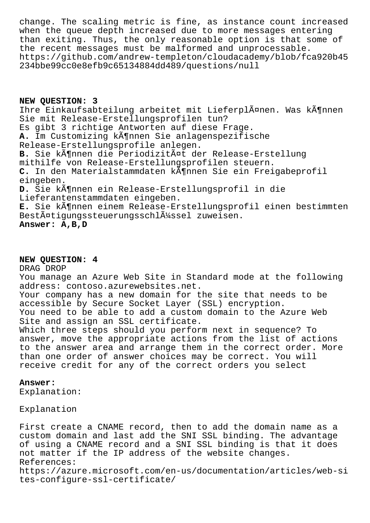change. The scaling metric is fine, as instance count increased when the queue depth increased due to more messages entering than exiting. Thus, the only reasonable option is that some of the recent messages must be malformed and unprocessable. https://github.com/andrew-templeton/cloudacademy/blob/fca920b45 234bbe99cc0e8efb9c65134884dd489/questions/null

**NEW QUESTION: 3** Ihre Einkaufsabteilung arbeitet mit LieferplĤnen. Was kĶnnen Sie mit Release-Erstellungsprofilen tun? Es gibt 3 richtige Antworten auf diese Frage. A. Im Customizing können Sie anlagenspezifische Release-Erstellungsprofile anlegen. B. Sie kĶnnen die PeriodizitĤt der Release-Erstellung mithilfe von Release-Erstellungsprofilen steuern. C. In den Materialstammdaten kĶnnen Sie ein Freigabeprofil eingeben. D. Sie können ein Release-Erstellungsprofil in die Lieferantenstammdaten eingeben. E. Sie kĶnnen einem Release-Erstellungsprofil einen bestimmten BestĤtigungssteuerungsschlļssel zuweisen. **Answer: A,B,D**

## **NEW QUESTION: 4**

# DRAG DROP

You manage an Azure Web Site in Standard mode at the following address: contoso.azurewebsites.net. Your company has a new domain for the site that needs to be accessible by Secure Socket Layer (SSL) encryption. You need to be able to add a custom domain to the Azure Web Site and assign an SSL certificate. Which three steps should you perform next in sequence? To answer, move the appropriate actions from the list of actions to the answer area and arrange them in the correct order. More than one order of answer choices may be correct. You will receive credit for any of the correct orders you select

## **Answer:**

Explanation:

Explanation

First create a CNAME record, then to add the domain name as a custom domain and last add the SNI SSL binding. The advantage of using a CNAME record and a SNI SSL binding is that it does not matter if the IP address of the website changes. References: https://azure.microsoft.com/en-us/documentation/articles/web-si tes-configure-ssl-certificate/